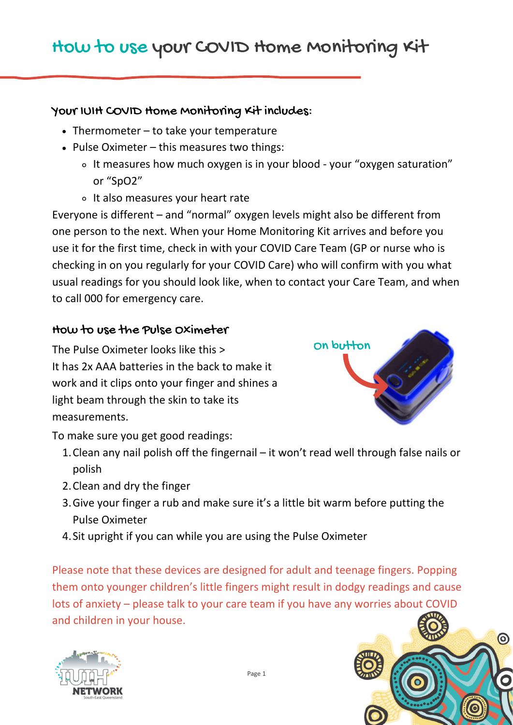# How to use your COVID Home Monitoring Kit

#### Your IUIH COVID Home Monitoring Kit includes:

- Thermometer to take your temperature
- Pulse Oximeter this measures two things:
	- It measures how much oxygen is in your blood your "oxygen saturation" or "SpO2"
	- It also measures your heart rate

Everyone is different – and "normal" oxygen levels might also be different from one person to the next. When your Home Monitoring Kit arrives and before you use it for the first time, check in with your COVID Care Team (GP or nurse who is checking in on you regularly for your COVID Care) who will confirm with you what usual readings for you should look like, when to contact your Care Team, and when to call 000 for emergency care.

### How to use the Pulse Oximeter

The Pulse Oximeter looks like this > It has 2x AAA batteries in the back to make it work and it clips onto your finger and shines a light beam through the skin to take its measurements.



To make sure you get good readings:

- 1. Clean any nail polish off the fingernail it won't read well through false nails or polish
- 2. Clean and dry the finger
- 3. Give your finger a rub and make sure it's a little bit warm before putting the Pulse Oximeter
- 4. Sit upright if you can while you are using the Pulse Oximeter

Please note that these devices are designed for adult and teenage fingers. Popping them onto younger children's little fingers might result in dodgy readings and cause lots of anxiety – please talk to your care team if you have any worries about COVID and children in your house.



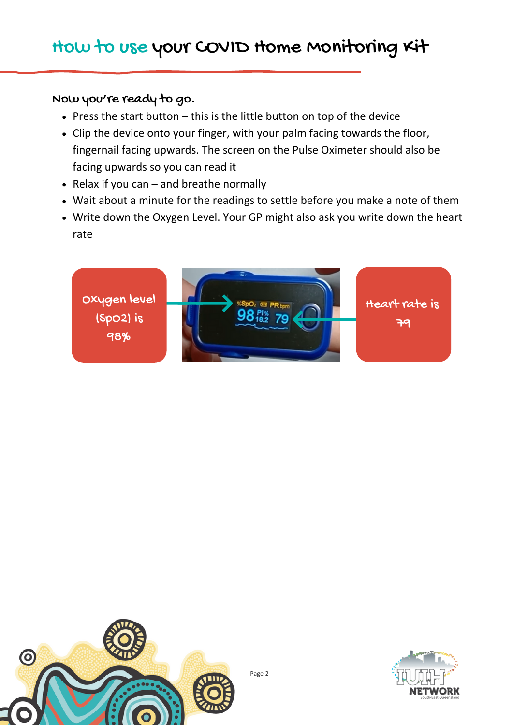## How to use your COVID Home Monitoring Kit

### Now you're ready to go.

- $\bullet$  Press the start button this is the little button on top of the device
- Clip the device onto your finger, with your palm facing towards the floor, fingernail facing upwards. The screen on the Pulse Oximeter should also be facing upwards so you can read it
- Relax if you can  $-$  and breathe normally
- Wait about a minute for the readings to settle before you make a note of them
- Write down the Oxygen Level. Your GP might also ask you write down the heart rate